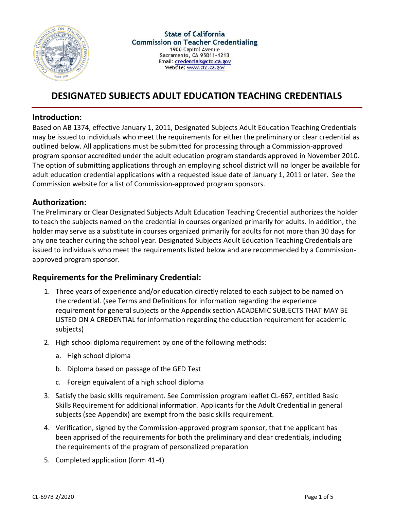

# **DESIGNATED SUBJECTS ADULT EDUCATION TEACHING CREDENTIALS**

### **Introduction:**

Based on AB 1374, effective January 1, 2011, Designated Subjects Adult Education Teaching Credentials may be issued to individuals who meet the requirements for either the preliminary or clear credential as outlined below. All applications must be submitted for processing through a Commission-approved program sponsor accredited under the adult education program standards approved in November 2010. The option of submitting applications through an employing school district will no longer be available for adult education credential applications with a requested issue date of January 1, 2011 or later. See the Commission website for a list of Commission-approved program sponsors.

### **Authorization:**

The Preliminary or Clear Designated Subjects Adult Education Teaching Credential authorizes the holder to teach the subjects named on the credential in courses organized primarily for adults. In addition, the holder may serve as a substitute in courses organized primarily for adults for not more than 30 days for any one teacher during the school year. Designated Subjects Adult Education Teaching Credentials are issued to individuals who meet the requirements listed below and are recommended by a Commissionapproved program sponsor.

### **Requirements for the Preliminary Credential:**

- 1. Three years of experience and/or education directly related to each subject to be named on the credential. (see Terms and Definitions for information regarding the experience requirement for general subjects or the Appendix section ACADEMIC SUBJECTS THAT MAY BE LISTED ON A CREDENTIAL for information regarding the education requirement for academic subjects)
- 2. High school diploma requirement by one of the following methods:
	- a. High school diploma
	- b. Diploma based on passage of the GED Test
	- c. Foreign equivalent of a high school diploma
- 3. Satisfy the basic skills requirement. See Commission program leaflet CL-667, entitled Basic Skills Requirement for additional information. Applicants for the Adult Credential in general subjects (see Appendix) are exempt from the basic skills requirement.
- 4. Verification, signed by the Commission-approved program sponsor, that the applicant has been apprised of the requirements for both the preliminary and clear credentials, including the requirements of the program of personalized preparation
- 5. Completed application (form 41-4)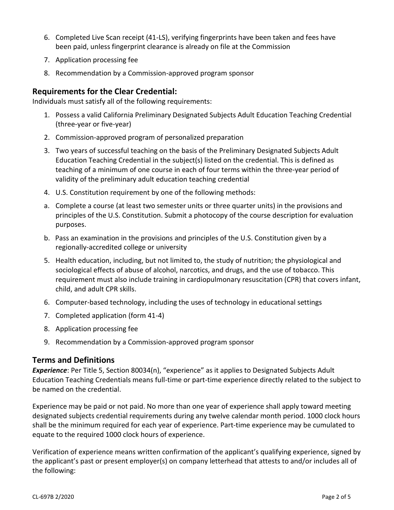- 6. Completed Live Scan receipt (41-LS), verifying fingerprints have been taken and fees have been paid, unless fingerprint clearance is already on file at the Commission
- 7. Application processing fee
- 8. Recommendation by a Commission-approved program sponsor

### **Requirements for the Clear Credential:**

Individuals must satisfy all of the following requirements:

- 1. Possess a valid California Preliminary Designated Subjects Adult Education Teaching Credential (three-year or five-year)
- 2. Commission-approved program of personalized preparation
- 3. Two years of successful teaching on the basis of the Preliminary Designated Subjects Adult Education Teaching Credential in the subject(s) listed on the credential. This is defined as teaching of a minimum of one course in each of four terms within the three-year period of validity of the preliminary adult education teaching credential
- 4. U.S. Constitution requirement by one of the following methods:
- a. Complete a course (at least two semester units or three quarter units) in the provisions and principles of the U.S. Constitution. Submit a photocopy of the course description for evaluation purposes.
- b. Pass an examination in the provisions and principles of the U.S. Constitution given by a regionally-accredited college or university
- 5. Health education, including, but not limited to, the study of nutrition; the physiological and sociological effects of abuse of alcohol, narcotics, and drugs, and the use of tobacco. This requirement must also include training in cardiopulmonary resuscitation (CPR) that covers infant, child, and adult CPR skills.
- 6. Computer-based technology, including the uses of technology in educational settings
- 7. Completed application (form 41-4)
- 8. Application processing fee
- 9. Recommendation by a Commission-approved program sponsor

#### **Terms and Definitions**

*Experience*: Per Title 5, Section 80034(n), "experience" as it applies to Designated Subjects Adult Education Teaching Credentials means full-time or part-time experience directly related to the subject to be named on the credential.

Experience may be paid or not paid. No more than one year of experience shall apply toward meeting designated subjects credential requirements during any twelve calendar month period. 1000 clock hours shall be the minimum required for each year of experience. Part-time experience may be cumulated to equate to the required 1000 clock hours of experience.

Verification of experience means written confirmation of the applicant's qualifying experience, signed by the applicant's past or present employer(s) on company letterhead that attests to and/or includes all of the following: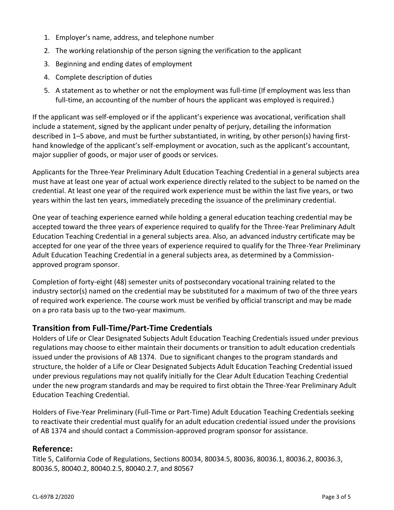- 1. Employer's name, address, and telephone number
- 2. The working relationship of the person signing the verification to the applicant
- 3. Beginning and ending dates of employment
- 4. Complete description of duties
- 5. A statement as to whether or not the employment was full-time (If employment was less than full-time, an accounting of the number of hours the applicant was employed is required.)

If the applicant was self-employed or if the applicant's experience was avocational, verification shall include a statement, signed by the applicant under penalty of perjury, detailing the information described in 1–5 above, and must be further substantiated, in writing, by other person(s) having firsthand knowledge of the applicant's self-employment or avocation, such as the applicant's accountant, major supplier of goods, or major user of goods or services.

Applicants for the Three-Year Preliminary Adult Education Teaching Credential in a general subjects area must have at least one year of actual work experience directly related to the subject to be named on the credential. At least one year of the required work experience must be within the last five years, or two years within the last ten years, immediately preceding the issuance of the preliminary credential.

One year of teaching experience earned while holding a general education teaching credential may be accepted toward the three years of experience required to qualify for the Three-Year Preliminary Adult Education Teaching Credential in a general subjects area. Also, an advanced industry certificate may be accepted for one year of the three years of experience required to qualify for the Three-Year Preliminary Adult Education Teaching Credential in a general subjects area, as determined by a Commissionapproved program sponsor.

Completion of forty-eight (48) semester units of postsecondary vocational training related to the industry sector(s) named on the credential may be substituted for a maximum of two of the three years of required work experience. The course work must be verified by official transcript and may be made on a pro rata basis up to the two-year maximum.

## **Transition from Full-Time/Part-Time Credentials**

Holders of Life or Clear Designated Subjects Adult Education Teaching Credentials issued under previous regulations may choose to either maintain their documents or transition to adult education credentials issued under the provisions of AB 1374. Due to significant changes to the program standards and structure, the holder of a Life or Clear Designated Subjects Adult Education Teaching Credential issued under previous regulations may not qualify initially for the Clear Adult Education Teaching Credential under the new program standards and may be required to first obtain the Three-Year Preliminary Adult Education Teaching Credential.

Holders of Five-Year Preliminary (Full-Time or Part-Time) Adult Education Teaching Credentials seeking to reactivate their credential must qualify for an adult education credential issued under the provisions of AB 1374 and should contact a Commission-approved program sponsor for assistance.

### **Reference:**

Title 5, California Code of Regulations, Sections 80034, 80034.5, 80036, 80036.1, 80036.2, 80036.3, 80036.5, 80040.2, 80040.2.5, 80040.2.7, and 80567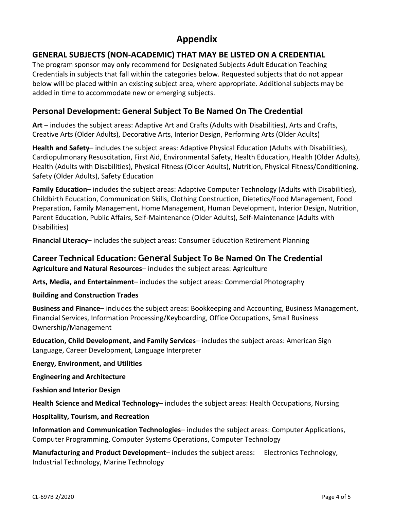# **Appendix**

# **GENERAL SUBJECTS (NON-ACADEMIC) THAT MAY BE LISTED ON A CREDENTIAL**

The program sponsor may only recommend for Designated Subjects Adult Education Teaching Credentials in subjects that fall within the categories below. Requested subjects that do not appear below will be placed within an existing subject area, where appropriate. Additional subjects may be added in time to accommodate new or emerging subjects.

## **Personal Development: General Subject To Be Named On The Credential**

**Art** – includes the subject areas: Adaptive Art and Crafts (Adults with Disabilities), Arts and Crafts, Creative Arts (Older Adults), Decorative Arts, Interior Design, Performing Arts (Older Adults)

**Health and Safety**– includes the subject areas: Adaptive Physical Education (Adults with Disabilities), Cardiopulmonary Resuscitation, First Aid, Environmental Safety, Health Education, Health (Older Adults), Health (Adults with Disabilities), Physical Fitness (Older Adults), Nutrition, Physical Fitness/Conditioning, Safety (Older Adults), Safety Education

**Family Education**– includes the subject areas: Adaptive Computer Technology (Adults with Disabilities), Childbirth Education, Communication Skills, Clothing Construction, Dietetics/Food Management, Food Preparation, Family Management, Home Management, Human Development, Interior Design, Nutrition, Parent Education, Public Affairs, Self-Maintenance (Older Adults), Self-Maintenance (Adults with Disabilities)

**Financial Literacy**– includes the subject areas: Consumer Education Retirement Planning

# **Career Technical Education: General Subject To Be Named On The Credential**

**Agriculture and Natural Resources**– includes the subject areas: Agriculture

**Arts, Media, and Entertainment**– includes the subject areas: Commercial Photography

#### **Building and Construction Trades**

**Business and Finance**– includes the subject areas: Bookkeeping and Accounting, Business Management, Financial Services, Information Processing/Keyboarding, Office Occupations, Small Business Ownership/Management

**Education, Child Development, and Family Services**– includes the subject areas: American Sign Language, Career Development, Language Interpreter

**Energy, Environment, and Utilities**

**Engineering and Architecture**

**Fashion and Interior Design**

**Health Science and Medical Technology**– includes the subject areas: Health Occupations, Nursing

**Hospitality, Tourism, and Recreation**

**Information and Communication Technologies**– includes the subject areas: Computer Applications, Computer Programming, Computer Systems Operations, Computer Technology

**Manufacturing and Product Development**– includes the subject areas: Electronics Technology, Industrial Technology, Marine Technology